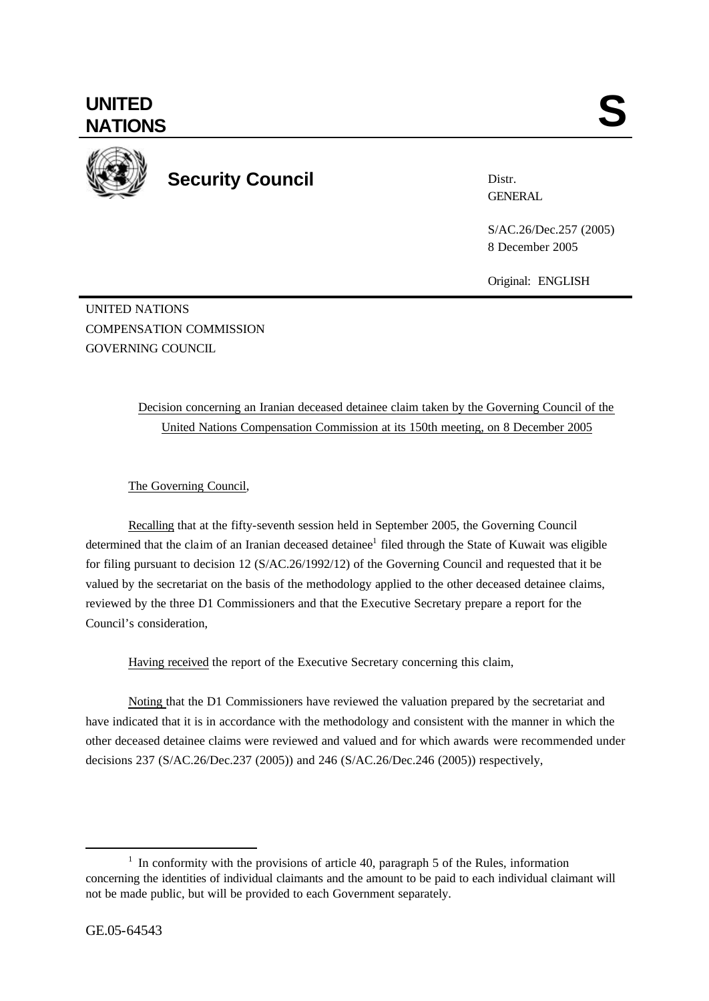

**Security Council**

Distr. **GENERAL** 

S/AC.26/Dec.257 (2005) 8 December 2005

Original: ENGLISH

UNITED NATIONS COMPENSATION COMMISSION GOVERNING COUNCIL

## Decision concerning an Iranian deceased detainee claim taken by the Governing Council of the United Nations Compensation Commission at its 150th meeting, on 8 December 2005

The Governing Council,

Recalling that at the fifty-seventh session held in September 2005, the Governing Council determined that the claim of an Iranian deceased detainee<sup>1</sup> filed through the State of Kuwait was eligible for filing pursuant to decision 12 (S/AC.26/1992/12) of the Governing Council and requested that it be valued by the secretariat on the basis of the methodology applied to the other deceased detainee claims, reviewed by the three D1 Commissioners and that the Executive Secretary prepare a report for the Council's consideration,

Having received the report of the Executive Secretary concerning this claim,

Noting that the D1 Commissioners have reviewed the valuation prepared by the secretariat and have indicated that it is in accordance with the methodology and consistent with the manner in which the other deceased detainee claims were reviewed and valued and for which awards were recommended under decisions 237 (S/AC.26/Dec.237 (2005)) and 246 (S/AC.26/Dec.246 (2005)) respectively,

l

<sup>&</sup>lt;sup>1</sup> In conformity with the provisions of article 40, paragraph 5 of the Rules, information concerning the identities of individual claimants and the amount to be paid to each individual claimant will not be made public, but will be provided to each Government separately.